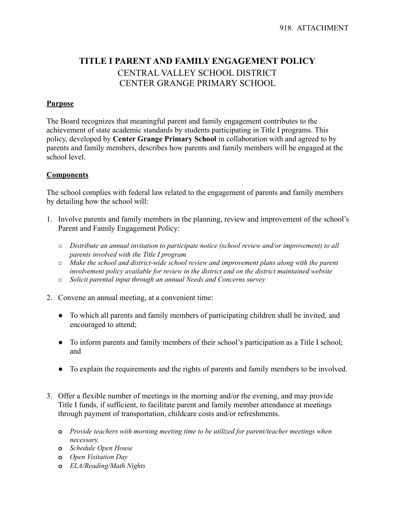# **TITLE I PARENT AND FAMILY ENGAGEMENT POLICY** CENTRAL VALLEY SCHOOL DISTRICT CENTER GRANGE PRIMARY SCHOOL

### **Purpose**

The Board recognizes that meaningful parent and family engagement contributes to the achievement of state academic standards by students participating in Title I programs. This policy, developed by **Center Grange Primary School** in collaboration with and agreed to by parents and family members, describes how parents and family members will be engaged at the school level.

### **Components**

The school complies with federal law related to the engagement of parents and family members by detailing how the school will:

- 1. Involve parents and family members in the planning, review and improvement of the school's Parent and Family Engagement Policy:
	- o *Distribute an annual invitation to participate notice (school review and/or improvement) to all parents involved with the Title I program*
	- o *Make the school and district-wide school review and improvement plans along with the parent involvement policy available for review in the district and on the district maintained website*
	- o *Solicit parental input through an annual Needs and Concerns survey*
- 2. Convene an annual meeting, at a convenient time:
	- To which all parents and family members of participating children shall be invited, and encouraged to attend;
	- To inform parents and family members of their school's participation as a Title I school; and
	- To explain the requirements and the rights of parents and family members to be involved.
- 3. Offer a flexible number of meetings in the morning and/or the evening, and may provide Title I funds, if sufficient, to facilitate parent and family member attendance at meetings through payment of transportation, childcare costs and/or refreshments.
	- **o** *Provide teachers with morning meeting time to be utilized for parent/teacher meetings when necessary.*
	- **o** *Schedule Open House*
	- **o** *Open Visitation Day*
	- **o** *ELA/Reading/Math Nights*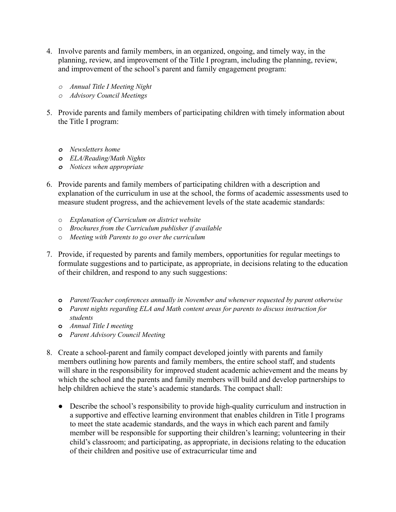- 4. Involve parents and family members, in an organized, ongoing, and timely way, in the planning, review, and improvement of the Title I program, including the planning, review, and improvement of the school's parent and family engagement program:
	- *o Annual Title I Meeting Night*
	- *o Advisory Council Meetings*
- 5. Provide parents and family members of participating children with timely information about the Title I program:
	- *o Newsletters home*
	- *o ELA/Reading/Math Nights*
	- *o Notices when appropriate*
- 6. Provide parents and family members of participating children with a description and explanation of the curriculum in use at the school, the forms of academic assessments used to measure student progress, and the achievement levels of the state academic standards:
	- o *Explanation of Curriculum on district website*
	- o *Brochures from the Curriculum publisher if available*
	- o *Meeting with Parents to go over the curriculum*
- 7. Provide, if requested by parents and family members, opportunities for regular meetings to formulate suggestions and to participate, as appropriate, in decisions relating to the education of their children, and respond to any such suggestions:
	- **o** *Parent/Teacher conferences annually in November and whenever requested by parent otherwise*
	- **o** *Parent nights regarding ELA and Math content areas for parents to discuss instruction for students*
	- **o** *Annual Title I meeting*
	- **o** *Parent Advisory Council Meeting*
- 8. Create a school-parent and family compact developed jointly with parents and family members outlining how parents and family members, the entire school staff, and students will share in the responsibility for improved student academic achievement and the means by which the school and the parents and family members will build and develop partnerships to help children achieve the state's academic standards. The compact shall:
	- Describe the school's responsibility to provide high-quality curriculum and instruction in a supportive and effective learning environment that enables children in Title I programs to meet the state academic standards, and the ways in which each parent and family member will be responsible for supporting their children's learning; volunteering in their child's classroom; and participating, as appropriate, in decisions relating to the education of their children and positive use of extracurricular time and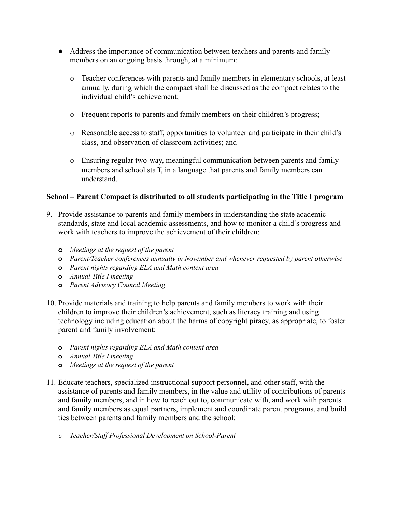- Address the importance of communication between teachers and parents and family members on an ongoing basis through, at a minimum:
	- o Teacher conferences with parents and family members in elementary schools, at least annually, during which the compact shall be discussed as the compact relates to the individual child's achievement;
	- o Frequent reports to parents and family members on their children's progress;
	- o Reasonable access to staff, opportunities to volunteer and participate in their child's class, and observation of classroom activities; and
	- o Ensuring regular two-way, meaningful communication between parents and family members and school staff, in a language that parents and family members can understand.

## **School – Parent Compact is distributed to all students participating in the Title I program**

- 9. Provide assistance to parents and family members in understanding the state academic standards, state and local academic assessments, and how to monitor a child's progress and work with teachers to improve the achievement of their children:
	- **o** *Meetings at the request of the parent*
	- **o** *Parent/Teacher conferences annually in November and whenever requested by parent otherwise*
	- **o** *Parent nights regarding ELA and Math content area*
	- **o** *Annual Title I meeting*
	- **o** *Parent Advisory Council Meeting*
- 10. Provide materials and training to help parents and family members to work with their children to improve their children's achievement, such as literacy training and using technology including education about the harms of copyright piracy, as appropriate, to foster parent and family involvement:
	- **o** *Parent nights regarding ELA and Math content area*
	- **o** *Annual Title I meeting*
	- **o** *Meetings at the request of the parent*
- 11. Educate teachers, specialized instructional support personnel, and other staff, with the assistance of parents and family members, in the value and utility of contributions of parents and family members, and in how to reach out to, communicate with, and work with parents and family members as equal partners, implement and coordinate parent programs, and build ties between parents and family members and the school:
	- *o Teacher/Staf Professional Development on School-Parent*